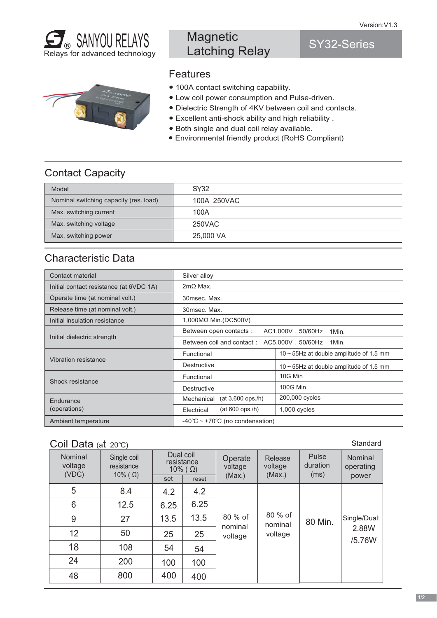SY32-Series



## **Magnetic** Latching Relay

## Features

- 100A contact switching capability.
- Low coil power consumption and Pulse-driven.
- Dielectric Strength of 4KV between coil and contacts.
- Excellent anti-shock ability and high reliability .
- Both single and dual coil relay available.
- Environmental friendly product (RoHS Compliant)

## Contact Capacity

| Model                                  | SY32        |
|----------------------------------------|-------------|
| Nominal switching capacity (res. load) | 100A 250VAC |
| Max. switching current                 | 100A        |
| Max. switching voltage                 | 250VAC      |
| Max. switching power                   | 25,000 VA   |

## Characteristic Data

| Contact material                        | Silver alloy                                            |                                               |  |
|-----------------------------------------|---------------------------------------------------------|-----------------------------------------------|--|
| Initial contact resistance (at 6VDC 1A) | $2m\Omega$ Max.                                         |                                               |  |
| Operate time (at nominal volt.)         | 30msec. Max.                                            |                                               |  |
| Release time (at nominal volt.)         | 30msec. Max.                                            |                                               |  |
| Initial insulation resistance           | 1,000MΩ Min.(DC500V)                                    |                                               |  |
|                                         | Between open contacts:<br>AC1,000V, 50/60Hz<br>1Min.    |                                               |  |
| Initial dielectric strength             | AC5,000V, 50/60Hz<br>1Min.<br>Between coil and contact: |                                               |  |
|                                         | Functional                                              | $10 \sim 55$ Hz at double amplitude of 1.5 mm |  |
| <b>Vibration resistance</b>             | Destructive                                             | $10 \sim 55$ Hz at double amplitude of 1.5 mm |  |
| Shock resistance                        | Functional                                              | 10G Min                                       |  |
|                                         | Destructive                                             | 100G Min.                                     |  |
| Endurance                               | $(at 3,600$ ops./h)<br>Mechanical                       | 200,000 cycles                                |  |
| (operations)                            | $(at 600$ ops./h)<br>Electrical                         | $1,000$ cycles                                |  |
| Ambient temperature                     | -40 $\degree$ C ~ +70 $\degree$ C (no condensation)     |                                               |  |

#### Coil Data  $( a<sup>†</sup> 20°C )$

| Nominal<br>voltage<br>(VDC) | Single coil<br>resistance<br>$10\%$ ( $\Omega$ ) | Dual coil<br>resistance<br>$10\%$ ( $\Omega$ )<br>set<br>reset |      | Operate<br>voltage<br>(Max.) | Release<br>voltage<br>(Max.) | Pulse<br>duration<br>(ms) | Nominal<br>operating<br>power |
|-----------------------------|--------------------------------------------------|----------------------------------------------------------------|------|------------------------------|------------------------------|---------------------------|-------------------------------|
| 5                           | 8.4                                              | 4.2                                                            | 4.2  |                              |                              |                           |                               |
| 6                           | 12.5                                             | 6.25                                                           | 6.25 |                              |                              |                           |                               |
| 9                           | 27                                               | 13.5                                                           | 13.5 | 80 % of                      | 80 % of<br>nominal           | 80 Min.                   | Single/Dual:                  |
| 12                          | 50                                               | 25                                                             | 25   | nominal<br>voltage           | voltage                      |                           | 2.88W                         |
| 18                          | 108                                              | 54                                                             | 54   |                              |                              |                           | /5.76W                        |
| 24                          | 200                                              | 100                                                            | 100  |                              |                              |                           |                               |
| 48                          | 800                                              | 400                                                            | 400  |                              |                              |                           |                               |

#### **Standard**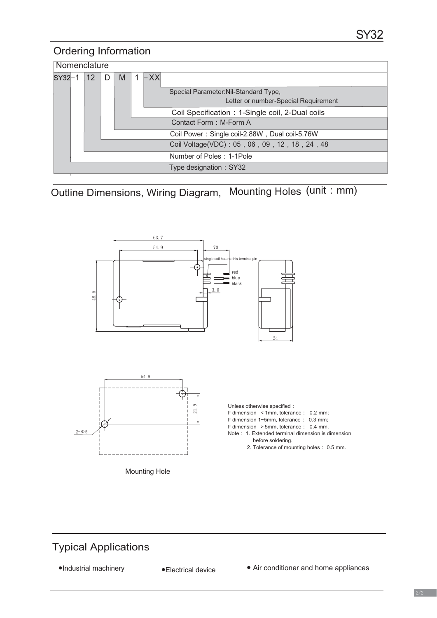#### Ordering Information

|            | Nomenclature |                   |   |   |  |       |                                                 |
|------------|--------------|-------------------|---|---|--|-------|-------------------------------------------------|
| $SY32 - 1$ |              | $12 \overline{ }$ | D | M |  | $-XX$ |                                                 |
|            |              |                   |   |   |  |       | Special Parameter: Nil-Standard Type,           |
|            |              |                   |   |   |  |       | Letter or number-Special Requirement            |
|            |              |                   |   |   |  |       | Coil Specification: 1-Single coil, 2-Dual coils |
|            |              |                   |   |   |  |       | Contact Form: M-Form A                          |
|            |              |                   |   |   |  |       | Coil Power: Single coil-2.88W, Dual coil-5.76W  |
|            |              |                   |   |   |  |       | Coil Voltage(VDC): 05, 06, 09, 12, 18, 24, 48   |
|            |              |                   |   |   |  |       | Number of Poles: 1-1Pole                        |
|            |              |                   |   |   |  |       | Type designation: SY32                          |

Outline Dimensions, Wiring Diagram, Mounting Holes (unit : mm)



## Typical Applications

●Industrial machinery ●Electrical device